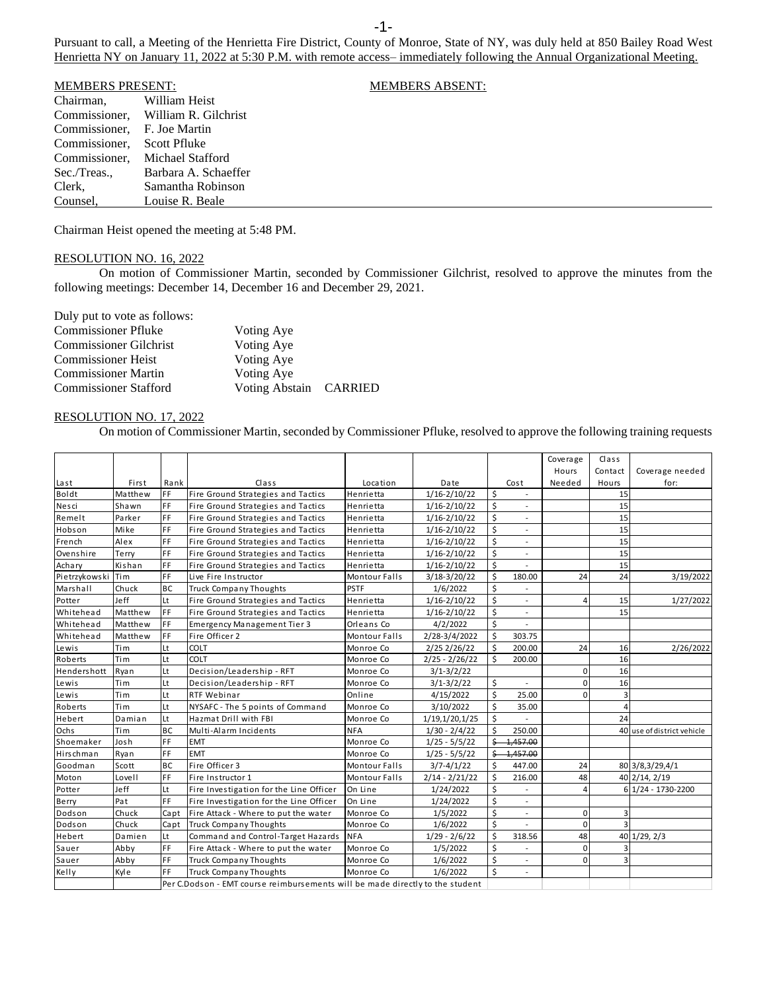Pursuant to call, a Meeting of the Henrietta Fire District, County of Monroe, State of NY, was duly held at 850 Bailey Road West Henrietta NY on January 11, 2022 at 5:30 P.M. with remote access– immediately following the Annual Organizational Meeting.

| <b>MEMBERS PRESENT:</b>     | <b>MEMBERS ABSENT:</b>             |  |
|-----------------------------|------------------------------------|--|
| Chairman,                   | William Heist                      |  |
|                             | Commissioner, William R. Gilchrist |  |
| Commissioner. F. Joe Martin |                                    |  |
| Commissioner.               | Scott Pfluke                       |  |
| Commissioner.               | Michael Stafford                   |  |
| Sec./Treas.,                | Barbara A. Schaeffer               |  |
| Clerk,                      | Samantha Robinson                  |  |
| Counsel,                    | Louise R. Beale                    |  |

Chairman Heist opened the meeting at 5:48 PM.

## RESOLUTION NO. 16, 2022

On motion of Commissioner Martin, seconded by Commissioner Gilchrist, resolved to approve the minutes from the following meetings: December 14, December 16 and December 29, 2021.

Duly put to vote as follows:

| <b>Commissioner Pfluke</b>    | Voting Aye             |  |
|-------------------------------|------------------------|--|
| <b>Commissioner Gilchrist</b> | Voting Aye             |  |
| <b>Commissioner Heist</b>     | Voting Aye             |  |
| <b>Commissioner Martin</b>    | Voting Aye             |  |
| <b>Commissioner Stafford</b>  | Voting Abstain CARRIED |  |

## RESOLUTION NO. 17, 2022

On motion of Commissioner Martin, seconded by Commissioner Pfluke, resolved to approve the following training requests

| Class<br>Coverage<br>Contact<br>Hours<br>Rank<br>Cost<br>Needed<br>Hours<br>First<br>Class<br>Location<br>Date<br>for:<br>Last<br>FF<br>\$<br>Boldt<br>Fire Ground Strategies and Tactics<br>$1/16 - 2/10/22$<br>Matthew<br>Henrietta<br>15<br>FF.<br>\$<br>Nesci<br>15<br>Shawn<br>Fire Ground Strategies and Tactics<br>Henrietta<br>$1/16 - 2/10/22$<br>$\overline{\phantom{a}}$<br>FF<br>\$<br>Remelt<br>Parker<br>15<br>Fire Ground Strategies and Tactics<br>Henrietta<br>$1/16 - 2/10/22$<br>$\overline{\phantom{a}}$<br>\$<br>FF<br>Hobson<br>Mike<br>Fire Ground Strategies and Tactics<br>$1/16 - 2/10/22$<br>15<br>Henrietta<br>$\overline{a}$<br>FF.<br>\$<br>15<br>French<br>Alex<br>Fire Ground Strategies and Tactics<br>$1/16 - 2/10/22$<br>Henrietta<br>\$<br>FF<br>15<br>Ovenshire<br>Terry<br>Fire Ground Strategies and Tactics<br>$1/16 - 2/10/22$<br>Henrietta<br>$\overline{a}$<br>$\overline{\mathsf{S}}$<br>FF<br>15<br>Achary<br>Kishan<br>$1/16 - 2/10/22$<br>Fire Ground Strategies and Tactics<br>Henrietta<br>FF<br>\$<br>Pietrzykowski<br>Tim<br>24<br>24<br>Live Fire Instructor<br><b>Montour Falls</b><br>$3/18-3/20/22$<br>180.00<br><b>BC</b><br>\$<br><b>PSTF</b><br>Marshall<br>Chuck<br><b>Truck Company Thoughts</b><br>1/6/2022<br>\$<br>Jeff<br>Lt<br>15<br>Potter<br>Fire Ground Strategies and Tactics<br>Henrietta<br>$1/16 - 2/10/22$<br>$\overline{a}$<br>\$<br>FF<br>$1/16 - 2/10/22$<br>15<br>Whitehead<br>Matthew<br>Fire Ground Strategies and Tactics<br>Henrietta<br>$\overline{\phantom{a}}$<br>\$<br>FF<br>4/2/2022<br><b>Emergency Management Tier 3</b><br>Whitehead<br>Matthew<br>Orleans Co<br>$\overline{a}$<br>\$<br>FF<br>Fire Officer 2<br>Whitehead<br>2/28-3/4/2022<br>303.75<br>Matthew<br><b>Montour Falls</b><br>\$<br>Lt<br>24<br>COLT<br>200.00<br>Lewis<br>2/25 2/26/22<br>16<br>Tim<br>Monroe Co<br>Lt<br>\$<br>COLT<br>200.00<br>16<br>Roberts<br>Tim<br>Monroe Co<br>$2/25 - 2/26/22$<br>Lt<br>Hendershott<br>Decision/Leadership - RFT<br>$\Omega$<br>16<br>Ryan<br>Monroe Co<br>$3/1 - 3/2/22$<br>\$<br>Lt<br>$\Omega$<br>16<br>Lewis<br>Tim<br>Decision/Leadership - RFT<br>Monroe Co<br>$3/1 - 3/2/22$<br>$\overline{\phantom{a}}$<br>\$<br>Lt<br>$\Omega$<br>3<br>Tim<br>4/15/2022<br>25.00<br>Lewis<br><b>RTF Webinar</b><br>Online<br>\$<br>Lt<br>Roberts<br>Tim<br>35.00<br>$\overline{4}$<br>NYSAFC - The 5 points of Command<br>Monroe Co<br>3/10/2022<br>\$<br>Lt<br>24<br>Hebert<br>Hazmat Drill with FBI<br>1/19,1/20,1/25<br>Damian<br>Monroe Co<br><b>BC</b><br>\$<br>Ochs<br>Tim<br>250.00<br>Multi-Alarm Incidents<br><b>NFA</b><br>$1/30 - 2/4/22$<br>FF<br><b>EMT</b><br>Ś-<br>4,457.00<br>Shoemaker<br>Josh<br>Monroe Co<br>$1/25 - 5/5/22$<br>FF<br>Hirschman<br><b>EMT</b><br>$1/25 - 5/5/22$<br>\$<br>4,457.00<br>Ryan<br>Monroe Co<br>Ś.<br><b>BC</b><br>Fire Officer 3<br>24<br>$3/7 - 4/1/22$<br>447.00<br>80 3/8,3/29,4/1<br>Goodman<br>Scott<br><b>Montour Falls</b><br>FF<br>Ś.<br>Moton<br>48<br>40 2/14, 2/19<br>Lovell<br>Fire Instructor 1<br><b>Montour Falls</b><br>$2/14 - 2/21/22$<br>216.00<br>\$<br>Potter<br>Jeff<br>Lt<br>Fire Investigation for the Line Officer<br>6 1/24 - 1730-2200<br>On Line<br>1/24/2022<br>4<br>$\overline{a}$<br>FF.<br>Ś<br>Berry<br>Pat<br>Fire Investigation for the Line Officer<br>On Line<br>1/24/2022<br>$\overline{\phantom{a}}$<br>\$<br>Capt<br>Dodson<br>Chuck<br>Fire Attack - Where to put the water<br>Monroe Co<br>1/5/2022<br>0<br>3<br>$\overline{\phantom{a}}$<br>\$<br>$\mathbf 0$<br>Dodson<br>Chuck<br>Capt<br><b>Truck Company Thoughts</b><br>Monroe Co<br>1/6/2022<br>$\overline{a}$<br>\$<br>48<br>Command and Control-Target Hazards<br>$40 \vert 1/29, 2/3$<br>Hebert<br><b>NFA</b><br>$1/29 - 2/6/22$<br>318.56<br>Damien<br>Lt<br>FF<br>\$<br>$\mathbf 0$<br>Monroe Co<br>Sauer<br>Abby<br>Fire Attack - Where to put the water<br>1/5/2022<br>3<br>FF<br>\$<br>$\Omega$<br>Sauer<br>Abby<br><b>Truck Company Thoughts</b><br>Monroe Co<br>1/6/2022<br>3<br>$\overline{\phantom{a}}$<br>Ś<br>FF<br>1/6/2022<br>Monroe Co<br>L, |       |      |                               |  |  |  |                            |
|---------------------------------------------------------------------------------------------------------------------------------------------------------------------------------------------------------------------------------------------------------------------------------------------------------------------------------------------------------------------------------------------------------------------------------------------------------------------------------------------------------------------------------------------------------------------------------------------------------------------------------------------------------------------------------------------------------------------------------------------------------------------------------------------------------------------------------------------------------------------------------------------------------------------------------------------------------------------------------------------------------------------------------------------------------------------------------------------------------------------------------------------------------------------------------------------------------------------------------------------------------------------------------------------------------------------------------------------------------------------------------------------------------------------------------------------------------------------------------------------------------------------------------------------------------------------------------------------------------------------------------------------------------------------------------------------------------------------------------------------------------------------------------------------------------------------------------------------------------------------------------------------------------------------------------------------------------------------------------------------------------------------------------------------------------------------------------------------------------------------------------------------------------------------------------------------------------------------------------------------------------------------------------------------------------------------------------------------------------------------------------------------------------------------------------------------------------------------------------------------------------------------------------------------------------------------------------------------------------------------------------------------------------------------------------------------------------------------------------------------------------------------------------------------------------------------------------------------------------------------------------------------------------------------------------------------------------------------------------------------------------------------------------------------------------------------------------------------------------------------------------------------------------------------------------------------------------------------------------------------------------------------------------------------------------------------------------------------------------------------------------------------------------------------------------------------------------------------------------------------------------------------------------------------------------------------------------------------------------------------------------------------------------------------------------------------------------------------------------------------------------------------------------------------------------------------------------------------------------------------------------------------------------------------------------------------------------------------------------------------------------------------------------------------------------------------------------------------------------|-------|------|-------------------------------|--|--|--|----------------------------|
|                                                                                                                                                                                                                                                                                                                                                                                                                                                                                                                                                                                                                                                                                                                                                                                                                                                                                                                                                                                                                                                                                                                                                                                                                                                                                                                                                                                                                                                                                                                                                                                                                                                                                                                                                                                                                                                                                                                                                                                                                                                                                                                                                                                                                                                                                                                                                                                                                                                                                                                                                                                                                                                                                                                                                                                                                                                                                                                                                                                                                                                                                                                                                                                                                                                                                                                                                                                                                                                                                                                                                                                                                                                                                                                                                                                                                                                                                                                                                                                                                                                                                                         |       |      |                               |  |  |  |                            |
|                                                                                                                                                                                                                                                                                                                                                                                                                                                                                                                                                                                                                                                                                                                                                                                                                                                                                                                                                                                                                                                                                                                                                                                                                                                                                                                                                                                                                                                                                                                                                                                                                                                                                                                                                                                                                                                                                                                                                                                                                                                                                                                                                                                                                                                                                                                                                                                                                                                                                                                                                                                                                                                                                                                                                                                                                                                                                                                                                                                                                                                                                                                                                                                                                                                                                                                                                                                                                                                                                                                                                                                                                                                                                                                                                                                                                                                                                                                                                                                                                                                                                                         |       |      |                               |  |  |  | Coverage needed            |
|                                                                                                                                                                                                                                                                                                                                                                                                                                                                                                                                                                                                                                                                                                                                                                                                                                                                                                                                                                                                                                                                                                                                                                                                                                                                                                                                                                                                                                                                                                                                                                                                                                                                                                                                                                                                                                                                                                                                                                                                                                                                                                                                                                                                                                                                                                                                                                                                                                                                                                                                                                                                                                                                                                                                                                                                                                                                                                                                                                                                                                                                                                                                                                                                                                                                                                                                                                                                                                                                                                                                                                                                                                                                                                                                                                                                                                                                                                                                                                                                                                                                                                         |       |      |                               |  |  |  |                            |
|                                                                                                                                                                                                                                                                                                                                                                                                                                                                                                                                                                                                                                                                                                                                                                                                                                                                                                                                                                                                                                                                                                                                                                                                                                                                                                                                                                                                                                                                                                                                                                                                                                                                                                                                                                                                                                                                                                                                                                                                                                                                                                                                                                                                                                                                                                                                                                                                                                                                                                                                                                                                                                                                                                                                                                                                                                                                                                                                                                                                                                                                                                                                                                                                                                                                                                                                                                                                                                                                                                                                                                                                                                                                                                                                                                                                                                                                                                                                                                                                                                                                                                         |       |      |                               |  |  |  |                            |
|                                                                                                                                                                                                                                                                                                                                                                                                                                                                                                                                                                                                                                                                                                                                                                                                                                                                                                                                                                                                                                                                                                                                                                                                                                                                                                                                                                                                                                                                                                                                                                                                                                                                                                                                                                                                                                                                                                                                                                                                                                                                                                                                                                                                                                                                                                                                                                                                                                                                                                                                                                                                                                                                                                                                                                                                                                                                                                                                                                                                                                                                                                                                                                                                                                                                                                                                                                                                                                                                                                                                                                                                                                                                                                                                                                                                                                                                                                                                                                                                                                                                                                         |       |      |                               |  |  |  |                            |
|                                                                                                                                                                                                                                                                                                                                                                                                                                                                                                                                                                                                                                                                                                                                                                                                                                                                                                                                                                                                                                                                                                                                                                                                                                                                                                                                                                                                                                                                                                                                                                                                                                                                                                                                                                                                                                                                                                                                                                                                                                                                                                                                                                                                                                                                                                                                                                                                                                                                                                                                                                                                                                                                                                                                                                                                                                                                                                                                                                                                                                                                                                                                                                                                                                                                                                                                                                                                                                                                                                                                                                                                                                                                                                                                                                                                                                                                                                                                                                                                                                                                                                         |       |      |                               |  |  |  |                            |
|                                                                                                                                                                                                                                                                                                                                                                                                                                                                                                                                                                                                                                                                                                                                                                                                                                                                                                                                                                                                                                                                                                                                                                                                                                                                                                                                                                                                                                                                                                                                                                                                                                                                                                                                                                                                                                                                                                                                                                                                                                                                                                                                                                                                                                                                                                                                                                                                                                                                                                                                                                                                                                                                                                                                                                                                                                                                                                                                                                                                                                                                                                                                                                                                                                                                                                                                                                                                                                                                                                                                                                                                                                                                                                                                                                                                                                                                                                                                                                                                                                                                                                         |       |      |                               |  |  |  |                            |
|                                                                                                                                                                                                                                                                                                                                                                                                                                                                                                                                                                                                                                                                                                                                                                                                                                                                                                                                                                                                                                                                                                                                                                                                                                                                                                                                                                                                                                                                                                                                                                                                                                                                                                                                                                                                                                                                                                                                                                                                                                                                                                                                                                                                                                                                                                                                                                                                                                                                                                                                                                                                                                                                                                                                                                                                                                                                                                                                                                                                                                                                                                                                                                                                                                                                                                                                                                                                                                                                                                                                                                                                                                                                                                                                                                                                                                                                                                                                                                                                                                                                                                         |       |      |                               |  |  |  |                            |
|                                                                                                                                                                                                                                                                                                                                                                                                                                                                                                                                                                                                                                                                                                                                                                                                                                                                                                                                                                                                                                                                                                                                                                                                                                                                                                                                                                                                                                                                                                                                                                                                                                                                                                                                                                                                                                                                                                                                                                                                                                                                                                                                                                                                                                                                                                                                                                                                                                                                                                                                                                                                                                                                                                                                                                                                                                                                                                                                                                                                                                                                                                                                                                                                                                                                                                                                                                                                                                                                                                                                                                                                                                                                                                                                                                                                                                                                                                                                                                                                                                                                                                         |       |      |                               |  |  |  |                            |
|                                                                                                                                                                                                                                                                                                                                                                                                                                                                                                                                                                                                                                                                                                                                                                                                                                                                                                                                                                                                                                                                                                                                                                                                                                                                                                                                                                                                                                                                                                                                                                                                                                                                                                                                                                                                                                                                                                                                                                                                                                                                                                                                                                                                                                                                                                                                                                                                                                                                                                                                                                                                                                                                                                                                                                                                                                                                                                                                                                                                                                                                                                                                                                                                                                                                                                                                                                                                                                                                                                                                                                                                                                                                                                                                                                                                                                                                                                                                                                                                                                                                                                         |       |      |                               |  |  |  |                            |
|                                                                                                                                                                                                                                                                                                                                                                                                                                                                                                                                                                                                                                                                                                                                                                                                                                                                                                                                                                                                                                                                                                                                                                                                                                                                                                                                                                                                                                                                                                                                                                                                                                                                                                                                                                                                                                                                                                                                                                                                                                                                                                                                                                                                                                                                                                                                                                                                                                                                                                                                                                                                                                                                                                                                                                                                                                                                                                                                                                                                                                                                                                                                                                                                                                                                                                                                                                                                                                                                                                                                                                                                                                                                                                                                                                                                                                                                                                                                                                                                                                                                                                         |       |      |                               |  |  |  | 3/19/2022                  |
|                                                                                                                                                                                                                                                                                                                                                                                                                                                                                                                                                                                                                                                                                                                                                                                                                                                                                                                                                                                                                                                                                                                                                                                                                                                                                                                                                                                                                                                                                                                                                                                                                                                                                                                                                                                                                                                                                                                                                                                                                                                                                                                                                                                                                                                                                                                                                                                                                                                                                                                                                                                                                                                                                                                                                                                                                                                                                                                                                                                                                                                                                                                                                                                                                                                                                                                                                                                                                                                                                                                                                                                                                                                                                                                                                                                                                                                                                                                                                                                                                                                                                                         |       |      |                               |  |  |  |                            |
|                                                                                                                                                                                                                                                                                                                                                                                                                                                                                                                                                                                                                                                                                                                                                                                                                                                                                                                                                                                                                                                                                                                                                                                                                                                                                                                                                                                                                                                                                                                                                                                                                                                                                                                                                                                                                                                                                                                                                                                                                                                                                                                                                                                                                                                                                                                                                                                                                                                                                                                                                                                                                                                                                                                                                                                                                                                                                                                                                                                                                                                                                                                                                                                                                                                                                                                                                                                                                                                                                                                                                                                                                                                                                                                                                                                                                                                                                                                                                                                                                                                                                                         |       |      |                               |  |  |  | 1/27/2022                  |
|                                                                                                                                                                                                                                                                                                                                                                                                                                                                                                                                                                                                                                                                                                                                                                                                                                                                                                                                                                                                                                                                                                                                                                                                                                                                                                                                                                                                                                                                                                                                                                                                                                                                                                                                                                                                                                                                                                                                                                                                                                                                                                                                                                                                                                                                                                                                                                                                                                                                                                                                                                                                                                                                                                                                                                                                                                                                                                                                                                                                                                                                                                                                                                                                                                                                                                                                                                                                                                                                                                                                                                                                                                                                                                                                                                                                                                                                                                                                                                                                                                                                                                         |       |      |                               |  |  |  |                            |
|                                                                                                                                                                                                                                                                                                                                                                                                                                                                                                                                                                                                                                                                                                                                                                                                                                                                                                                                                                                                                                                                                                                                                                                                                                                                                                                                                                                                                                                                                                                                                                                                                                                                                                                                                                                                                                                                                                                                                                                                                                                                                                                                                                                                                                                                                                                                                                                                                                                                                                                                                                                                                                                                                                                                                                                                                                                                                                                                                                                                                                                                                                                                                                                                                                                                                                                                                                                                                                                                                                                                                                                                                                                                                                                                                                                                                                                                                                                                                                                                                                                                                                         |       |      |                               |  |  |  |                            |
|                                                                                                                                                                                                                                                                                                                                                                                                                                                                                                                                                                                                                                                                                                                                                                                                                                                                                                                                                                                                                                                                                                                                                                                                                                                                                                                                                                                                                                                                                                                                                                                                                                                                                                                                                                                                                                                                                                                                                                                                                                                                                                                                                                                                                                                                                                                                                                                                                                                                                                                                                                                                                                                                                                                                                                                                                                                                                                                                                                                                                                                                                                                                                                                                                                                                                                                                                                                                                                                                                                                                                                                                                                                                                                                                                                                                                                                                                                                                                                                                                                                                                                         |       |      |                               |  |  |  |                            |
|                                                                                                                                                                                                                                                                                                                                                                                                                                                                                                                                                                                                                                                                                                                                                                                                                                                                                                                                                                                                                                                                                                                                                                                                                                                                                                                                                                                                                                                                                                                                                                                                                                                                                                                                                                                                                                                                                                                                                                                                                                                                                                                                                                                                                                                                                                                                                                                                                                                                                                                                                                                                                                                                                                                                                                                                                                                                                                                                                                                                                                                                                                                                                                                                                                                                                                                                                                                                                                                                                                                                                                                                                                                                                                                                                                                                                                                                                                                                                                                                                                                                                                         |       |      |                               |  |  |  | 2/26/2022                  |
|                                                                                                                                                                                                                                                                                                                                                                                                                                                                                                                                                                                                                                                                                                                                                                                                                                                                                                                                                                                                                                                                                                                                                                                                                                                                                                                                                                                                                                                                                                                                                                                                                                                                                                                                                                                                                                                                                                                                                                                                                                                                                                                                                                                                                                                                                                                                                                                                                                                                                                                                                                                                                                                                                                                                                                                                                                                                                                                                                                                                                                                                                                                                                                                                                                                                                                                                                                                                                                                                                                                                                                                                                                                                                                                                                                                                                                                                                                                                                                                                                                                                                                         |       |      |                               |  |  |  |                            |
|                                                                                                                                                                                                                                                                                                                                                                                                                                                                                                                                                                                                                                                                                                                                                                                                                                                                                                                                                                                                                                                                                                                                                                                                                                                                                                                                                                                                                                                                                                                                                                                                                                                                                                                                                                                                                                                                                                                                                                                                                                                                                                                                                                                                                                                                                                                                                                                                                                                                                                                                                                                                                                                                                                                                                                                                                                                                                                                                                                                                                                                                                                                                                                                                                                                                                                                                                                                                                                                                                                                                                                                                                                                                                                                                                                                                                                                                                                                                                                                                                                                                                                         |       |      |                               |  |  |  |                            |
|                                                                                                                                                                                                                                                                                                                                                                                                                                                                                                                                                                                                                                                                                                                                                                                                                                                                                                                                                                                                                                                                                                                                                                                                                                                                                                                                                                                                                                                                                                                                                                                                                                                                                                                                                                                                                                                                                                                                                                                                                                                                                                                                                                                                                                                                                                                                                                                                                                                                                                                                                                                                                                                                                                                                                                                                                                                                                                                                                                                                                                                                                                                                                                                                                                                                                                                                                                                                                                                                                                                                                                                                                                                                                                                                                                                                                                                                                                                                                                                                                                                                                                         |       |      |                               |  |  |  |                            |
|                                                                                                                                                                                                                                                                                                                                                                                                                                                                                                                                                                                                                                                                                                                                                                                                                                                                                                                                                                                                                                                                                                                                                                                                                                                                                                                                                                                                                                                                                                                                                                                                                                                                                                                                                                                                                                                                                                                                                                                                                                                                                                                                                                                                                                                                                                                                                                                                                                                                                                                                                                                                                                                                                                                                                                                                                                                                                                                                                                                                                                                                                                                                                                                                                                                                                                                                                                                                                                                                                                                                                                                                                                                                                                                                                                                                                                                                                                                                                                                                                                                                                                         |       |      |                               |  |  |  |                            |
|                                                                                                                                                                                                                                                                                                                                                                                                                                                                                                                                                                                                                                                                                                                                                                                                                                                                                                                                                                                                                                                                                                                                                                                                                                                                                                                                                                                                                                                                                                                                                                                                                                                                                                                                                                                                                                                                                                                                                                                                                                                                                                                                                                                                                                                                                                                                                                                                                                                                                                                                                                                                                                                                                                                                                                                                                                                                                                                                                                                                                                                                                                                                                                                                                                                                                                                                                                                                                                                                                                                                                                                                                                                                                                                                                                                                                                                                                                                                                                                                                                                                                                         |       |      |                               |  |  |  |                            |
|                                                                                                                                                                                                                                                                                                                                                                                                                                                                                                                                                                                                                                                                                                                                                                                                                                                                                                                                                                                                                                                                                                                                                                                                                                                                                                                                                                                                                                                                                                                                                                                                                                                                                                                                                                                                                                                                                                                                                                                                                                                                                                                                                                                                                                                                                                                                                                                                                                                                                                                                                                                                                                                                                                                                                                                                                                                                                                                                                                                                                                                                                                                                                                                                                                                                                                                                                                                                                                                                                                                                                                                                                                                                                                                                                                                                                                                                                                                                                                                                                                                                                                         |       |      |                               |  |  |  |                            |
|                                                                                                                                                                                                                                                                                                                                                                                                                                                                                                                                                                                                                                                                                                                                                                                                                                                                                                                                                                                                                                                                                                                                                                                                                                                                                                                                                                                                                                                                                                                                                                                                                                                                                                                                                                                                                                                                                                                                                                                                                                                                                                                                                                                                                                                                                                                                                                                                                                                                                                                                                                                                                                                                                                                                                                                                                                                                                                                                                                                                                                                                                                                                                                                                                                                                                                                                                                                                                                                                                                                                                                                                                                                                                                                                                                                                                                                                                                                                                                                                                                                                                                         |       |      |                               |  |  |  | 40 use of district vehicle |
|                                                                                                                                                                                                                                                                                                                                                                                                                                                                                                                                                                                                                                                                                                                                                                                                                                                                                                                                                                                                                                                                                                                                                                                                                                                                                                                                                                                                                                                                                                                                                                                                                                                                                                                                                                                                                                                                                                                                                                                                                                                                                                                                                                                                                                                                                                                                                                                                                                                                                                                                                                                                                                                                                                                                                                                                                                                                                                                                                                                                                                                                                                                                                                                                                                                                                                                                                                                                                                                                                                                                                                                                                                                                                                                                                                                                                                                                                                                                                                                                                                                                                                         |       |      |                               |  |  |  |                            |
|                                                                                                                                                                                                                                                                                                                                                                                                                                                                                                                                                                                                                                                                                                                                                                                                                                                                                                                                                                                                                                                                                                                                                                                                                                                                                                                                                                                                                                                                                                                                                                                                                                                                                                                                                                                                                                                                                                                                                                                                                                                                                                                                                                                                                                                                                                                                                                                                                                                                                                                                                                                                                                                                                                                                                                                                                                                                                                                                                                                                                                                                                                                                                                                                                                                                                                                                                                                                                                                                                                                                                                                                                                                                                                                                                                                                                                                                                                                                                                                                                                                                                                         |       |      |                               |  |  |  |                            |
|                                                                                                                                                                                                                                                                                                                                                                                                                                                                                                                                                                                                                                                                                                                                                                                                                                                                                                                                                                                                                                                                                                                                                                                                                                                                                                                                                                                                                                                                                                                                                                                                                                                                                                                                                                                                                                                                                                                                                                                                                                                                                                                                                                                                                                                                                                                                                                                                                                                                                                                                                                                                                                                                                                                                                                                                                                                                                                                                                                                                                                                                                                                                                                                                                                                                                                                                                                                                                                                                                                                                                                                                                                                                                                                                                                                                                                                                                                                                                                                                                                                                                                         |       |      |                               |  |  |  |                            |
|                                                                                                                                                                                                                                                                                                                                                                                                                                                                                                                                                                                                                                                                                                                                                                                                                                                                                                                                                                                                                                                                                                                                                                                                                                                                                                                                                                                                                                                                                                                                                                                                                                                                                                                                                                                                                                                                                                                                                                                                                                                                                                                                                                                                                                                                                                                                                                                                                                                                                                                                                                                                                                                                                                                                                                                                                                                                                                                                                                                                                                                                                                                                                                                                                                                                                                                                                                                                                                                                                                                                                                                                                                                                                                                                                                                                                                                                                                                                                                                                                                                                                                         |       |      |                               |  |  |  |                            |
|                                                                                                                                                                                                                                                                                                                                                                                                                                                                                                                                                                                                                                                                                                                                                                                                                                                                                                                                                                                                                                                                                                                                                                                                                                                                                                                                                                                                                                                                                                                                                                                                                                                                                                                                                                                                                                                                                                                                                                                                                                                                                                                                                                                                                                                                                                                                                                                                                                                                                                                                                                                                                                                                                                                                                                                                                                                                                                                                                                                                                                                                                                                                                                                                                                                                                                                                                                                                                                                                                                                                                                                                                                                                                                                                                                                                                                                                                                                                                                                                                                                                                                         |       |      |                               |  |  |  |                            |
|                                                                                                                                                                                                                                                                                                                                                                                                                                                                                                                                                                                                                                                                                                                                                                                                                                                                                                                                                                                                                                                                                                                                                                                                                                                                                                                                                                                                                                                                                                                                                                                                                                                                                                                                                                                                                                                                                                                                                                                                                                                                                                                                                                                                                                                                                                                                                                                                                                                                                                                                                                                                                                                                                                                                                                                                                                                                                                                                                                                                                                                                                                                                                                                                                                                                                                                                                                                                                                                                                                                                                                                                                                                                                                                                                                                                                                                                                                                                                                                                                                                                                                         |       |      |                               |  |  |  |                            |
|                                                                                                                                                                                                                                                                                                                                                                                                                                                                                                                                                                                                                                                                                                                                                                                                                                                                                                                                                                                                                                                                                                                                                                                                                                                                                                                                                                                                                                                                                                                                                                                                                                                                                                                                                                                                                                                                                                                                                                                                                                                                                                                                                                                                                                                                                                                                                                                                                                                                                                                                                                                                                                                                                                                                                                                                                                                                                                                                                                                                                                                                                                                                                                                                                                                                                                                                                                                                                                                                                                                                                                                                                                                                                                                                                                                                                                                                                                                                                                                                                                                                                                         |       |      |                               |  |  |  |                            |
|                                                                                                                                                                                                                                                                                                                                                                                                                                                                                                                                                                                                                                                                                                                                                                                                                                                                                                                                                                                                                                                                                                                                                                                                                                                                                                                                                                                                                                                                                                                                                                                                                                                                                                                                                                                                                                                                                                                                                                                                                                                                                                                                                                                                                                                                                                                                                                                                                                                                                                                                                                                                                                                                                                                                                                                                                                                                                                                                                                                                                                                                                                                                                                                                                                                                                                                                                                                                                                                                                                                                                                                                                                                                                                                                                                                                                                                                                                                                                                                                                                                                                                         |       |      |                               |  |  |  |                            |
|                                                                                                                                                                                                                                                                                                                                                                                                                                                                                                                                                                                                                                                                                                                                                                                                                                                                                                                                                                                                                                                                                                                                                                                                                                                                                                                                                                                                                                                                                                                                                                                                                                                                                                                                                                                                                                                                                                                                                                                                                                                                                                                                                                                                                                                                                                                                                                                                                                                                                                                                                                                                                                                                                                                                                                                                                                                                                                                                                                                                                                                                                                                                                                                                                                                                                                                                                                                                                                                                                                                                                                                                                                                                                                                                                                                                                                                                                                                                                                                                                                                                                                         |       |      |                               |  |  |  |                            |
|                                                                                                                                                                                                                                                                                                                                                                                                                                                                                                                                                                                                                                                                                                                                                                                                                                                                                                                                                                                                                                                                                                                                                                                                                                                                                                                                                                                                                                                                                                                                                                                                                                                                                                                                                                                                                                                                                                                                                                                                                                                                                                                                                                                                                                                                                                                                                                                                                                                                                                                                                                                                                                                                                                                                                                                                                                                                                                                                                                                                                                                                                                                                                                                                                                                                                                                                                                                                                                                                                                                                                                                                                                                                                                                                                                                                                                                                                                                                                                                                                                                                                                         |       |      |                               |  |  |  |                            |
|                                                                                                                                                                                                                                                                                                                                                                                                                                                                                                                                                                                                                                                                                                                                                                                                                                                                                                                                                                                                                                                                                                                                                                                                                                                                                                                                                                                                                                                                                                                                                                                                                                                                                                                                                                                                                                                                                                                                                                                                                                                                                                                                                                                                                                                                                                                                                                                                                                                                                                                                                                                                                                                                                                                                                                                                                                                                                                                                                                                                                                                                                                                                                                                                                                                                                                                                                                                                                                                                                                                                                                                                                                                                                                                                                                                                                                                                                                                                                                                                                                                                                                         |       |      |                               |  |  |  |                            |
|                                                                                                                                                                                                                                                                                                                                                                                                                                                                                                                                                                                                                                                                                                                                                                                                                                                                                                                                                                                                                                                                                                                                                                                                                                                                                                                                                                                                                                                                                                                                                                                                                                                                                                                                                                                                                                                                                                                                                                                                                                                                                                                                                                                                                                                                                                                                                                                                                                                                                                                                                                                                                                                                                                                                                                                                                                                                                                                                                                                                                                                                                                                                                                                                                                                                                                                                                                                                                                                                                                                                                                                                                                                                                                                                                                                                                                                                                                                                                                                                                                                                                                         | Kelly | Kyle | <b>Truck Company Thoughts</b> |  |  |  |                            |
| Per C.Dodson - EMT course reimbursements will be made directly to the student                                                                                                                                                                                                                                                                                                                                                                                                                                                                                                                                                                                                                                                                                                                                                                                                                                                                                                                                                                                                                                                                                                                                                                                                                                                                                                                                                                                                                                                                                                                                                                                                                                                                                                                                                                                                                                                                                                                                                                                                                                                                                                                                                                                                                                                                                                                                                                                                                                                                                                                                                                                                                                                                                                                                                                                                                                                                                                                                                                                                                                                                                                                                                                                                                                                                                                                                                                                                                                                                                                                                                                                                                                                                                                                                                                                                                                                                                                                                                                                                                           |       |      |                               |  |  |  |                            |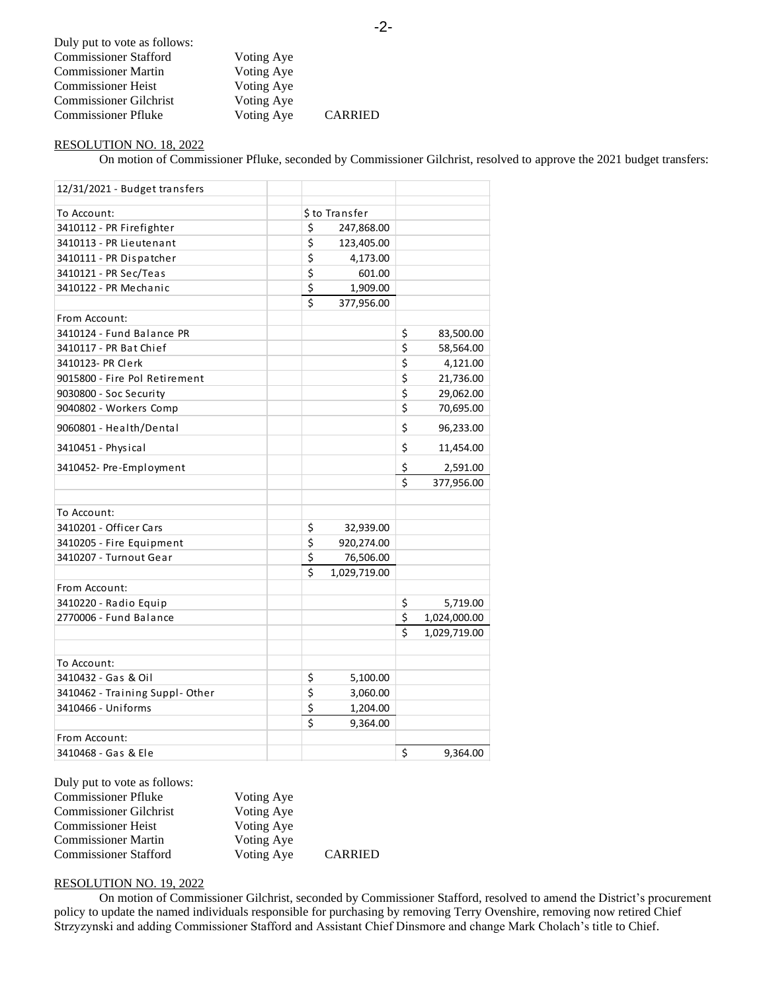| Duly put to vote as follows:  |            |                |
|-------------------------------|------------|----------------|
| <b>Commissioner Stafford</b>  | Voting Aye |                |
| <b>Commissioner Martin</b>    | Voting Aye |                |
| <b>Commissioner Heist</b>     | Voting Aye |                |
| <b>Commissioner Gilchrist</b> | Voting Aye |                |
| <b>Commissioner Pfluke</b>    | Voting Aye | <b>CARRIED</b> |

# RESOLUTION NO. 18, 2022

On motion of Commissioner Pfluke, seconded by Commissioner Gilchrist, resolved to approve the 2021 budget transfers:

| 12/31/2021 - Budget transfers          |                         |                |                         |              |
|----------------------------------------|-------------------------|----------------|-------------------------|--------------|
| To Account:                            |                         | \$ to Transfer |                         |              |
| 3410112 - PR Firefighter               | \$                      | 247,868.00     |                         |              |
| 3410113 - PR Lieutenant                | \$                      | 123,405.00     |                         |              |
| 3410111 - PR Dispatcher                | \$                      | 4,173.00       |                         |              |
| 3410121 - PR Sec/Teas                  | \$                      | 601.00         |                         |              |
| 3410122 - PR Mechanic                  | \$                      | 1,909.00       |                         |              |
|                                        | $\overline{\mathsf{S}}$ | 377,956.00     |                         |              |
| From Account:                          |                         |                |                         |              |
| 3410124 - Fund Balance PR              |                         |                | \$                      | 83,500.00    |
| 3410117 - PR Bat Chief                 |                         |                | \$                      | 58,564.00    |
| 3410123- PR Clerk                      |                         |                | \$                      | 4,121.00     |
| 9015800 - Fire Pol Retirement          |                         |                | \$                      | 21,736.00    |
| 9030800 - Soc Security                 |                         |                | $\overline{\mathsf{S}}$ | 29,062.00    |
| 9040802 - Workers Comp                 |                         |                | \$                      | 70,695.00    |
| 9060801 - Health/Dental                |                         |                | \$                      | 96,233.00    |
| 3410451 - Physical                     |                         |                | \$                      | 11,454.00    |
| 3410452- Pre-Employment                |                         |                | \$                      | 2,591.00     |
|                                        |                         |                | \$                      | 377,956.00   |
|                                        |                         |                |                         |              |
| To Account:<br>3410201 - Officer Cars  |                         |                |                         |              |
|                                        | \$<br>\$                | 32,939.00      |                         |              |
| 3410205 - Fire Equipment               |                         | 920,274.00     |                         |              |
| 3410207 - Turnout Gear                 | \$<br>\$                | 76,506.00      |                         |              |
|                                        |                         | 1,029,719.00   |                         |              |
| From Account:<br>3410220 - Radio Equip |                         |                |                         | 5,719.00     |
| 2770006 - Fund Balance                 |                         |                | \$<br>\$                | 1,024,000.00 |
|                                        |                         |                | Ś                       | 1,029,719.00 |
|                                        |                         |                |                         |              |
| To Account:                            |                         |                |                         |              |
| 3410432 - Gas & Oil                    | \$                      | 5,100.00       |                         |              |
| 3410462 - Training Suppl-Other         | \$                      | 3,060.00       |                         |              |
| 3410466 - Uniforms                     | \$                      | 1,204.00       |                         |              |
|                                        | $\overline{\mathsf{s}}$ | 9,364.00       |                         |              |
| From Account:                          |                         |                |                         |              |
| 3410468 - Gas & Ele                    |                         |                | \$                      | 9,364.00     |

| Duly put to vote as follows:  |            |                |
|-------------------------------|------------|----------------|
| <b>Commissioner Pfluke</b>    | Voting Aye |                |
| <b>Commissioner Gilchrist</b> | Voting Aye |                |
| <b>Commissioner Heist</b>     | Voting Aye |                |
| <b>Commissioner Martin</b>    | Voting Aye |                |
| <b>Commissioner Stafford</b>  | Voting Aye | <b>CARRIED</b> |

# RESOLUTION NO. 19, 2022

On motion of Commissioner Gilchrist, seconded by Commissioner Stafford, resolved to amend the District's procurement policy to update the named individuals responsible for purchasing by removing Terry Ovenshire, removing now retired Chief Strzyzynski and adding Commissioner Stafford and Assistant Chief Dinsmore and change Mark Cholach's title to Chief.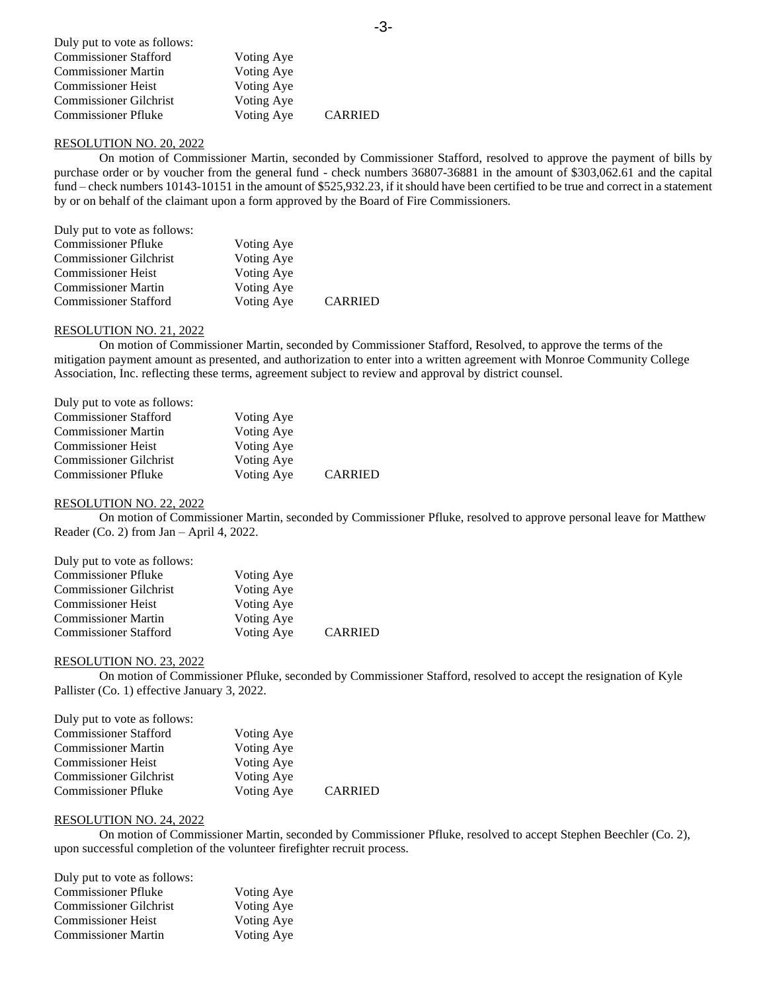| Duly put to vote as follows:  |            |                |
|-------------------------------|------------|----------------|
| <b>Commissioner Stafford</b>  | Voting Aye |                |
| <b>Commissioner Martin</b>    | Voting Aye |                |
| <b>Commissioner Heist</b>     | Voting Aye |                |
| <b>Commissioner Gilchrist</b> | Voting Aye |                |
| <b>Commissioner Pfluke</b>    | Voting Aye | <b>CARRIED</b> |

### RESOLUTION NO. 20, 2022

On motion of Commissioner Martin, seconded by Commissioner Stafford, resolved to approve the payment of bills by purchase order or by voucher from the general fund - check numbers 36807-36881 in the amount of \$303,062.61 and the capital fund – check numbers 10143-10151 in the amount of \$525,932.23, if it should have been certified to be true and correct in a statement by or on behalf of the claimant upon a form approved by the Board of Fire Commissioners.

| Duly put to vote as follows:  |            |                |
|-------------------------------|------------|----------------|
| <b>Commissioner Pfluke</b>    | Voting Aye |                |
| <b>Commissioner Gilchrist</b> | Voting Aye |                |
| <b>Commissioner Heist</b>     | Voting Aye |                |
| <b>Commissioner Martin</b>    | Voting Aye |                |
| <b>Commissioner Stafford</b>  | Voting Aye | <b>CARRIED</b> |

### RESOLUTION NO. 21, 2022

On motion of Commissioner Martin, seconded by Commissioner Stafford, Resolved, to approve the terms of the mitigation payment amount as presented, and authorization to enter into a written agreement with Monroe Community College Association, Inc. reflecting these terms, agreement subject to review and approval by district counsel.

| Duly put to vote as follows:  |            |                |
|-------------------------------|------------|----------------|
| <b>Commissioner Stafford</b>  | Voting Aye |                |
| <b>Commissioner Martin</b>    | Voting Aye |                |
| <b>Commissioner Heist</b>     | Voting Aye |                |
| <b>Commissioner Gilchrist</b> | Voting Aye |                |
| <b>Commissioner Pfluke</b>    | Voting Aye | <b>CARRIED</b> |

### RESOLUTION NO. 22, 2022

On motion of Commissioner Martin, seconded by Commissioner Pfluke, resolved to approve personal leave for Matthew Reader (Co. 2) from Jan – April 4, 2022.

| Duly put to vote as follows:  |            |                |
|-------------------------------|------------|----------------|
| <b>Commissioner Pfluke</b>    | Voting Aye |                |
| <b>Commissioner Gilchrist</b> | Voting Aye |                |
| <b>Commissioner Heist</b>     | Voting Aye |                |
| <b>Commissioner Martin</b>    | Voting Aye |                |
| <b>Commissioner Stafford</b>  | Voting Aye | <b>CARRIED</b> |

#### RESOLUTION NO. 23, 2022

On motion of Commissioner Pfluke, seconded by Commissioner Stafford, resolved to accept the resignation of Kyle Pallister (Co. 1) effective January 3, 2022.

| Duly put to vote as follows:  |            |                |
|-------------------------------|------------|----------------|
| <b>Commissioner Stafford</b>  | Voting Aye |                |
| <b>Commissioner Martin</b>    | Voting Aye |                |
| <b>Commissioner Heist</b>     | Voting Aye |                |
| <b>Commissioner Gilchrist</b> | Voting Aye |                |
| <b>Commissioner Pfluke</b>    | Voting Aye | <b>CARRIED</b> |

#### RESOLUTION NO. 24, 2022

On motion of Commissioner Martin, seconded by Commissioner Pfluke, resolved to accept Stephen Beechler (Co. 2), upon successful completion of the volunteer firefighter recruit process.

| Voting Aye |
|------------|
| Voting Aye |
| Voting Aye |
| Voting Aye |
|            |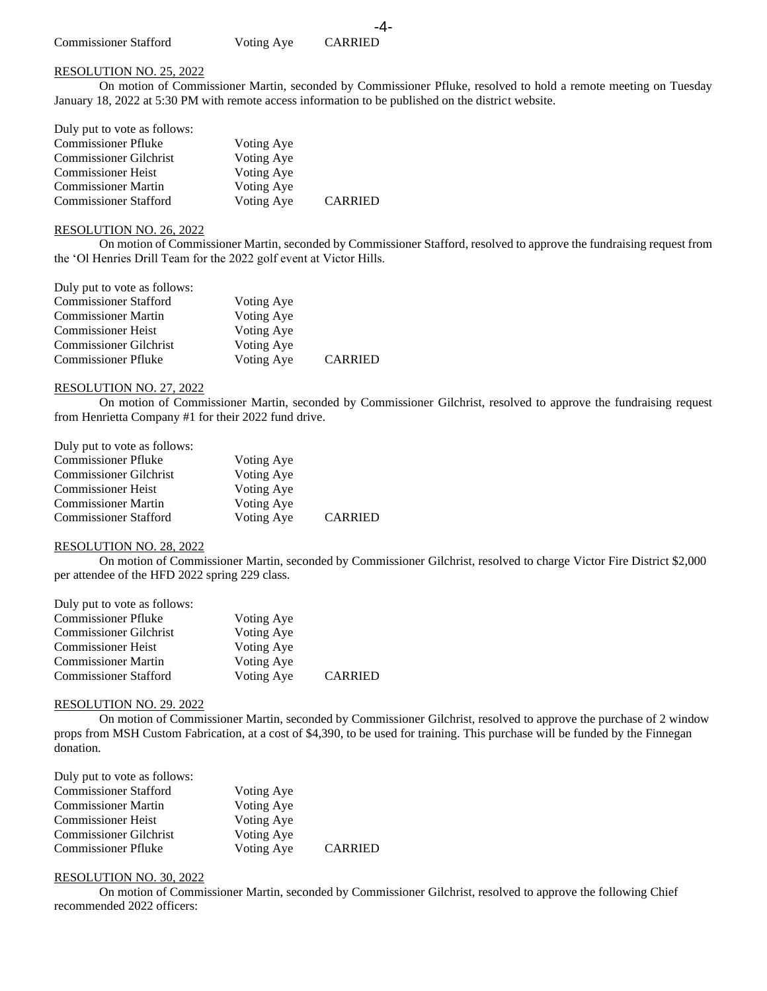# RESOLUTION NO. 25, 2022

On motion of Commissioner Martin, seconded by Commissioner Pfluke, resolved to hold a remote meeting on Tuesday January 18, 2022 at 5:30 PM with remote access information to be published on the district website.

-4-

| Duly put to vote as follows:  |            |                |
|-------------------------------|------------|----------------|
| <b>Commissioner Pfluke</b>    | Voting Aye |                |
| <b>Commissioner Gilchrist</b> | Voting Aye |                |
| <b>Commissioner Heist</b>     | Voting Aye |                |
| <b>Commissioner Martin</b>    | Voting Aye |                |
| <b>Commissioner Stafford</b>  | Voting Aye | <b>CARRIED</b> |

# RESOLUTION NO. 26, 2022

On motion of Commissioner Martin, seconded by Commissioner Stafford, resolved to approve the fundraising request from the 'Ol Henries Drill Team for the 2022 golf event at Victor Hills.

| Duly put to vote as follows:  |            |                |
|-------------------------------|------------|----------------|
| <b>Commissioner Stafford</b>  | Voting Aye |                |
| <b>Commissioner Martin</b>    | Voting Aye |                |
| <b>Commissioner Heist</b>     | Voting Aye |                |
| <b>Commissioner Gilchrist</b> | Voting Aye |                |
| <b>Commissioner Pfluke</b>    | Voting Aye | <b>CARRIED</b> |

### RESOLUTION NO. 27, 2022

On motion of Commissioner Martin, seconded by Commissioner Gilchrist, resolved to approve the fundraising request from Henrietta Company #1 for their 2022 fund drive.

| Duly put to vote as follows:  |            |                |
|-------------------------------|------------|----------------|
| <b>Commissioner Pfluke</b>    | Voting Aye |                |
| <b>Commissioner Gilchrist</b> | Voting Aye |                |
| <b>Commissioner Heist</b>     | Voting Aye |                |
| <b>Commissioner Martin</b>    | Voting Aye |                |
| <b>Commissioner Stafford</b>  | Voting Aye | <b>CARRIED</b> |

### RESOLUTION NO. 28, 2022

On motion of Commissioner Martin, seconded by Commissioner Gilchrist, resolved to charge Victor Fire District \$2,000 per attendee of the HFD 2022 spring 229 class.

| Duly put to vote as follows:  |            |                |
|-------------------------------|------------|----------------|
| <b>Commissioner Pfluke</b>    | Voting Aye |                |
| <b>Commissioner Gilchrist</b> | Voting Aye |                |
| <b>Commissioner Heist</b>     | Voting Aye |                |
| <b>Commissioner Martin</b>    | Voting Aye |                |
| <b>Commissioner Stafford</b>  | Voting Aye | <b>CARRIED</b> |

### RESOLUTION NO. 29. 2022

On motion of Commissioner Martin, seconded by Commissioner Gilchrist, resolved to approve the purchase of 2 window props from MSH Custom Fabrication, at a cost of \$4,390, to be used for training. This purchase will be funded by the Finnegan donation.

| Duly put to vote as follows:  |            |                |
|-------------------------------|------------|----------------|
| <b>Commissioner Stafford</b>  | Voting Aye |                |
| <b>Commissioner Martin</b>    | Voting Aye |                |
| <b>Commissioner Heist</b>     | Voting Aye |                |
| <b>Commissioner Gilchrist</b> | Voting Aye |                |
| <b>Commissioner Pfluke</b>    | Voting Aye | <b>CARRIED</b> |

## RESOLUTION NO. 30, 2022

On motion of Commissioner Martin, seconded by Commissioner Gilchrist, resolved to approve the following Chief recommended 2022 officers: